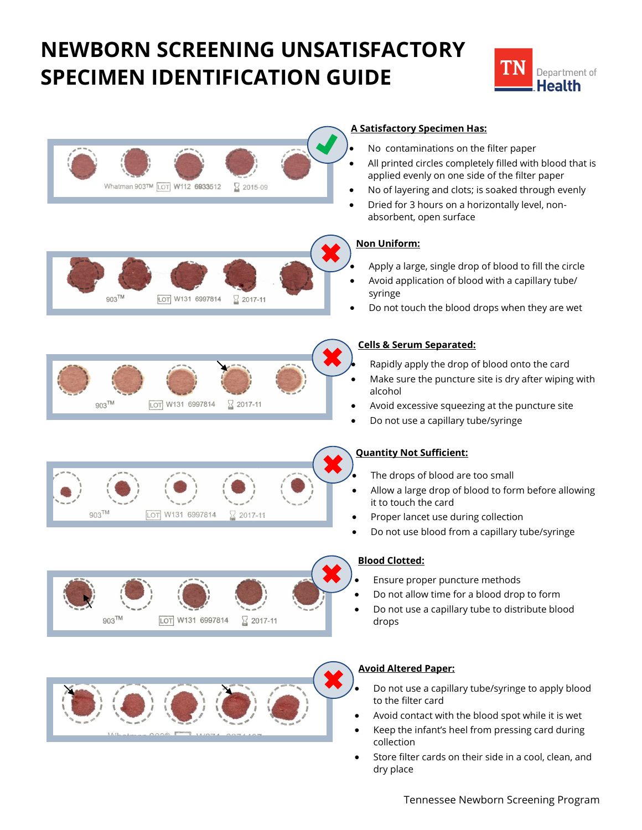# **NEWBORN SCREENING UNSATISFACTORY SPECIMEN IDENTIFICATION GUIDE**





 Store filter cards on their side in a cool, clean, and dry place